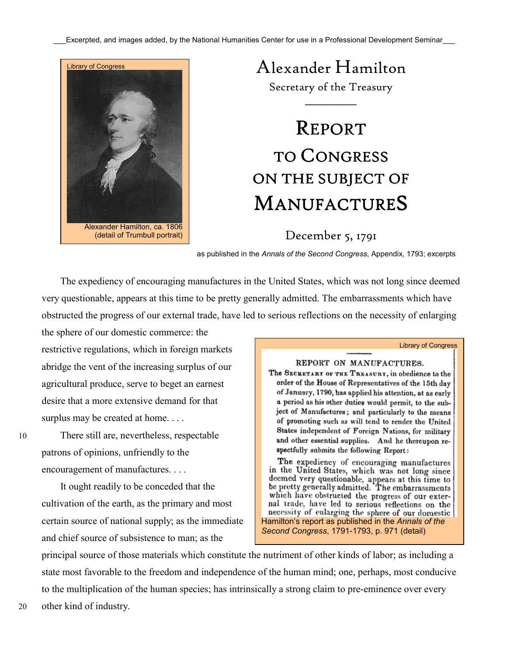

## Alexander Hamilton

Secretary of the Treasury  $\overline{\phantom{a}}$ 

## REPORT TO CONGRESS ON THE SUBJECT OF MANUFACTURES

December 5, 1791

as published in the *Annals of the Second Congress*, Appendix, 1793; excerpts

 The expediency of encouraging manufactures in the United States, which was not long since deemed very questionable, appears at this time to be pretty generally admitted. The embarrassments which have obstructed the progress of our external trade, have led to serious reflections on the necessity of enlarging

the sphere of our domestic commerce: the restrictive regulations, which in foreign markets abridge the vent of the increasing surplus of our agricultural produce, serve to beget an earnest desire that a more extensive demand for that surplus may be created at home....

10 There still are, nevertheless, respectable patrons of opinions, unfriendly to the encouragement of manufactures. . . .

> It ought readily to be conceded that the cultivation of the earth, as the primary and most certain source of national supply; as the immediate and chief source of subsistence to man; as the



principal source of those materials which constitute the nutriment of other kinds of labor; as including a state most favorable to the freedom and independence of the human mind; one, perhaps, most conducive to the multiplication of the human species; has intrinsically a strong claim to pre-eminence over every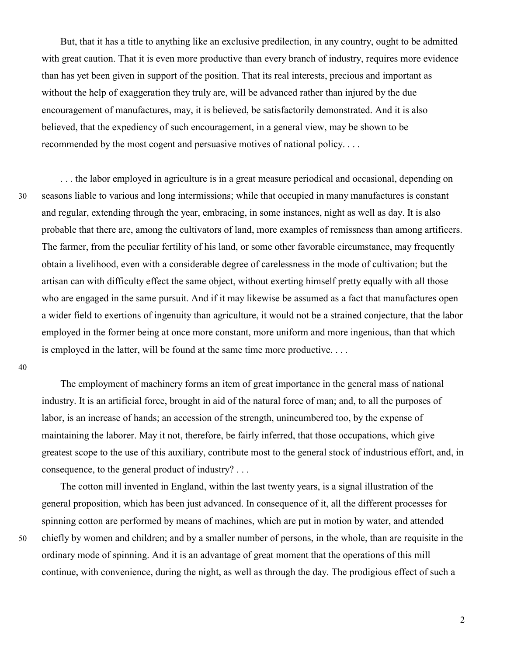But, that it has a title to anything like an exclusive predilection, in any country, ought to be admitted with great caution. That it is even more productive than every branch of industry, requires more evidence than has yet been given in support of the position. That its real interests, precious and important as without the help of exaggeration they truly are, will be advanced rather than injured by the due encouragement of manufactures, may, it is believed, be satisfactorily demonstrated. And it is also believed, that the expediency of such encouragement, in a general view, may be shown to be recommended by the most cogent and persuasive motives of national policy. . . .

 . . . the labor employed in agriculture is in a great measure periodical and occasional, depending on 30 seasons liable to various and long intermissions; while that occupied in many manufactures is constant and regular, extending through the year, embracing, in some instances, night as well as day. It is also probable that there are, among the cultivators of land, more examples of remissness than among artificers. The farmer, from the peculiar fertility of his land, or some other favorable circumstance, may frequently obtain a livelihood, even with a considerable degree of carelessness in the mode of cultivation; but the artisan can with difficulty effect the same object, without exerting himself pretty equally with all those who are engaged in the same pursuit. And if it may likewise be assumed as a fact that manufactures open a wider field to exertions of ingenuity than agriculture, it would not be a strained conjecture, that the labor employed in the former being at once more constant, more uniform and more ingenious, than that which is employed in the latter, will be found at the same time more productive. . . .

40

 The employment of machinery forms an item of great importance in the general mass of national industry. It is an artificial force, brought in aid of the natural force of man; and, to all the purposes of labor, is an increase of hands; an accession of the strength, unincumbered too, by the expense of maintaining the laborer. May it not, therefore, be fairly inferred, that those occupations, which give greatest scope to the use of this auxiliary, contribute most to the general stock of industrious effort, and, in consequence, to the general product of industry? . . .

 The cotton mill invented in England, within the last twenty years, is a signal illustration of the general proposition, which has been just advanced. In consequence of it, all the different processes for spinning cotton are performed by means of machines, which are put in motion by water, and attended 50 chiefly by women and children; and by a smaller number of persons, in the whole, than are requisite in the ordinary mode of spinning. And it is an advantage of great moment that the operations of this mill continue, with convenience, during the night, as well as through the day. The prodigious effect of such a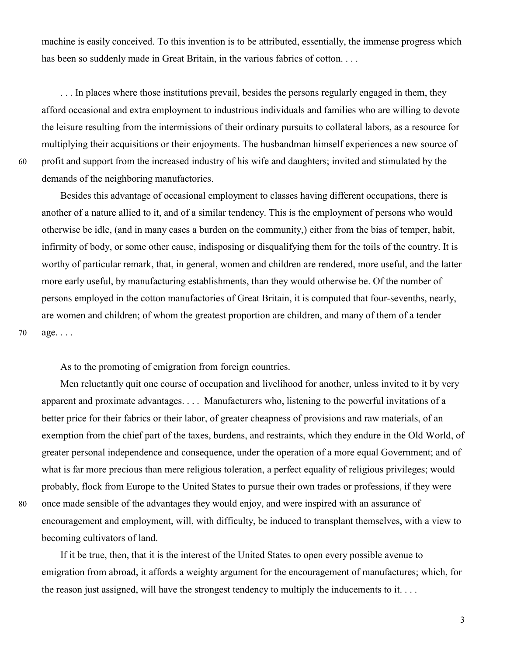machine is easily conceived. To this invention is to be attributed, essentially, the immense progress which has been so suddenly made in Great Britain, in the various fabrics of cotton. . . .

 . . . In places where those institutions prevail, besides the persons regularly engaged in them, they afford occasional and extra employment to industrious individuals and families who are willing to devote the leisure resulting from the intermissions of their ordinary pursuits to collateral labors, as a resource for multiplying their acquisitions or their enjoyments. The husbandman himself experiences a new source of 60 profit and support from the increased industry of his wife and daughters; invited and stimulated by the demands of the neighboring manufactories.

 Besides this advantage of occasional employment to classes having different occupations, there is another of a nature allied to it, and of a similar tendency. This is the employment of persons who would otherwise be idle, (and in many cases a burden on the community,) either from the bias of temper, habit, infirmity of body, or some other cause, indisposing or disqualifying them for the toils of the country. It is worthy of particular remark, that, in general, women and children are rendered, more useful, and the latter more early useful, by manufacturing establishments, than they would otherwise be. Of the number of persons employed in the cotton manufactories of Great Britain, it is computed that four-sevenths, nearly, are women and children; of whom the greatest proportion are children, and many of them of a tender 70 age. . . .

As to the promoting of emigration from foreign countries.

 Men reluctantly quit one course of occupation and livelihood for another, unless invited to it by very apparent and proximate advantages. . . . Manufacturers who, listening to the powerful invitations of a better price for their fabrics or their labor, of greater cheapness of provisions and raw materials, of an exemption from the chief part of the taxes, burdens, and restraints, which they endure in the Old World, of greater personal independence and consequence, under the operation of a more equal Government; and of what is far more precious than mere religious toleration, a perfect equality of religious privileges; would probably, flock from Europe to the United States to pursue their own trades or professions, if they were 80 once made sensible of the advantages they would enjoy, and were inspired with an assurance of encouragement and employment, will, with difficulty, be induced to transplant themselves, with a view to becoming cultivators of land.

 If it be true, then, that it is the interest of the United States to open every possible avenue to emigration from abroad, it affords a weighty argument for the encouragement of manufactures; which, for the reason just assigned, will have the strongest tendency to multiply the inducements to it. . . .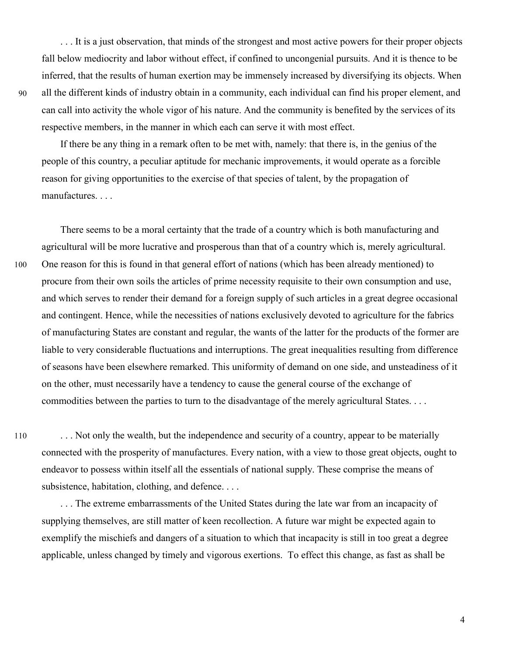. . . It is a just observation, that minds of the strongest and most active powers for their proper objects fall below mediocrity and labor without effect, if confined to uncongenial pursuits. And it is thence to be inferred, that the results of human exertion may be immensely increased by diversifying its objects. When 90 all the different kinds of industry obtain in a community, each individual can find his proper element, and can call into activity the whole vigor of his nature. And the community is benefited by the services of its respective members, in the manner in which each can serve it with most effect.

 If there be any thing in a remark often to be met with, namely: that there is, in the genius of the people of this country, a peculiar aptitude for mechanic improvements, it would operate as a forcible reason for giving opportunities to the exercise of that species of talent, by the propagation of manufactures. . . .

 There seems to be a moral certainty that the trade of a country which is both manufacturing and agricultural will be more lucrative and prosperous than that of a country which is, merely agricultural. 100 One reason for this is found in that general effort of nations (which has been already mentioned) to procure from their own soils the articles of prime necessity requisite to their own consumption and use, and which serves to render their demand for a foreign supply of such articles in a great degree occasional and contingent. Hence, while the necessities of nations exclusively devoted to agriculture for the fabrics of manufacturing States are constant and regular, the wants of the latter for the products of the former are liable to very considerable fluctuations and interruptions. The great inequalities resulting from difference of seasons have been elsewhere remarked. This uniformity of demand on one side, and unsteadiness of it on the other, must necessarily have a tendency to cause the general course of the exchange of commodities between the parties to turn to the disadvantage of the merely agricultural States. . . .

110 . . . Not only the wealth, but the independence and security of a country, appear to be materially connected with the prosperity of manufactures. Every nation, with a view to those great objects, ought to endeavor to possess within itself all the essentials of national supply. These comprise the means of subsistence, habitation, clothing, and defence. . . .

 . . . The extreme embarrassments of the United States during the late war from an incapacity of supplying themselves, are still matter of keen recollection. A future war might be expected again to exemplify the mischiefs and dangers of a situation to which that incapacity is still in too great a degree applicable, unless changed by timely and vigorous exertions. To effect this change, as fast as shall be